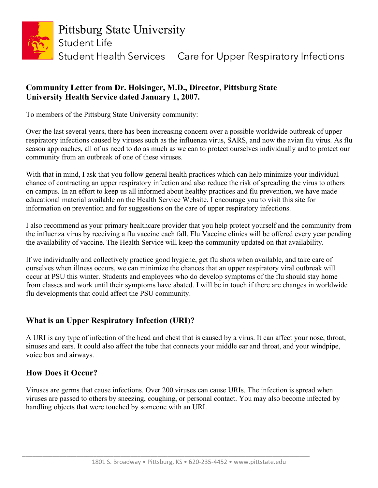

## **Community Letter from Dr. Holsinger, M.D., Director, Pittsburg State University Health Service dated January 1, 2007.**

To members of the Pittsburg State University community:

Over the last several years, there has been increasing concern over a possible worldwide outbreak of upper respiratory infections caused by viruses such as the influenza virus, SARS, and now the avian flu virus. As flu season approaches, all of us need to do as much as we can to protect ourselves individually and to protect our community from an outbreak of one of these viruses.

With that in mind, I ask that you follow general health practices which can help minimize your individual chance of contracting an upper respiratory infection and also reduce the risk of spreading the virus to others on campus. In an effort to keep us all informed about healthy practices and flu prevention, we have made educational material available on the Health Service Website. I encourage you to visit this site for information on prevention and for suggestions on the care of upper respiratory infections.

I also recommend as your primary healthcare provider that you help protect yourself and the community from the influenza virus by receiving a flu vaccine each fall. Flu Vaccine clinics will be offered every year pending the availability of vaccine. The Health Service will keep the community updated on that availability.

If we individually and collectively practice good hygiene, get flu shots when available, and take care of ourselves when illness occurs, we can minimize the chances that an upper respiratory viral outbreak will occur at PSU this winter. Students and employees who do develop symptoms of the flu should stay home from classes and work until their symptoms have abated. I will be in touch if there are changes in worldwide flu developments that could affect the PSU community.

## **What is an Upper Respiratory Infection (URI)?**

A URI is any type of infection of the head and chest that is caused by a virus. It can affect your nose, throat, sinuses and ears. It could also affect the tube that connects your middle ear and throat, and your windpipe, voice box and airways.

## **How Does it Occur?**

Viruses are germs that cause infections. Over 200 viruses can cause URIs. The infection is spread when viruses are passed to others by sneezing, coughing, or personal contact. You may also become infected by handling objects that were touched by someone with an URI.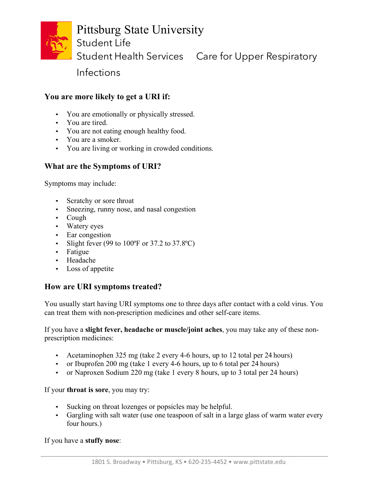

## Pittsburg State University

Student Life

Student Health Services Care for Upper Respiratory

Infections

## **You are more likely to get a URI if:**

- You are emotionally or physically stressed.
- You are tired.
- You are not eating enough healthy food.
- You are a smoker.
- You are living or working in crowded conditions.

## **What are the Symptoms of URI?**

Symptoms may include:

- Scratchy or sore throat
- Sneezing, runny nose, and nasal congestion
- Cough
- Watery eyes
- Ear congestion
- Slight fever (99 to  $100^{\circ}$ F or 37.2 to 37.8 $^{\circ}$ C)
- Fatigue
- Headache
- Loss of appetite

## **How are URI symptoms treated?**

You usually start having URI symptoms one to three days after contact with a cold virus. You can treat them with non-prescription medicines and other self-care items.

If you have a **slight fever, headache or muscle/joint aches**, you may take any of these nonprescription medicines:

- Acetaminophen 325 mg (take 2 every 4-6 hours, up to 12 total per 24 hours)
- or Ibuprofen 200 mg (take 1 every 4-6 hours, up to 6 total per 24 hours)
- or Naproxen Sodium 220 mg (take 1 every 8 hours, up to 3 total per 24 hours)

#### If your **throat is sore**, you may try:

- Sucking on throat lozenges or popsicles may be helpful.
- Gargling with salt water (use one teaspoon of salt in a large glass of warm water every four hours.)

If you have a **stuffy nose**: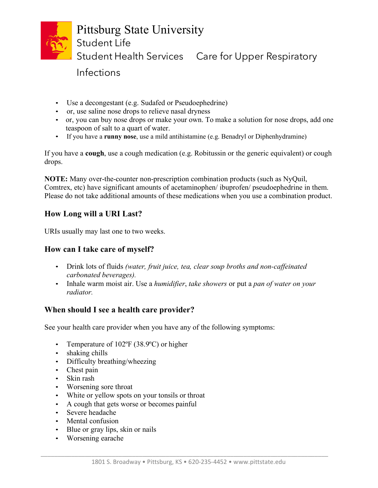

# Pittsburg State University Student Life Student Health Services Care for Upper Respiratory

Infections

- Use a decongestant (e.g. Sudafed or Pseudoephedrine)
- or, use saline nose drops to relieve nasal dryness
- or, you can buy nose drops or make your own. To make a solution for nose drops, add one teaspoon of salt to a quart of water.
- If you have a **runny nose**, use a mild antihistamine (e.g. Benadryl or Diphenhydramine)

If you have a **cough**, use a cough medication (e.g. Robitussin or the generic equivalent) or cough drops.

**NOTE:** Many over-the-counter non-prescription combination products (such as NyQuil, Comtrex, etc) have significant amounts of acetaminophen/ ibuprofen/ pseudoephedrine in them. Please do not take additional amounts of these medications when you use a combination product.

## **How Long will a URI Last?**

URIs usually may last one to two weeks.

## **How can I take care of myself?**

- Drink lots of fluids *(water, fruit juice, tea, clear soup broths and non-caffeinated carbonated beverages).*
- Inhale warm moist air. Use a *humidifier*, *take showers* or put a *pan of water on your radiator.*

## **When should I see a health care provider?**

See your health care provider when you have any of the following symptoms:

- Temperature of 102°F (38.9°C) or higher
- shaking chills
- Difficulty breathing/wheezing
- Chest pain
- Skin rash
- Worsening sore throat
- White or yellow spots on your tonsils or throat
- A cough that gets worse or becomes painful
- Severe headache
- Mental confusion
- Blue or gray lips, skin or nails
- Worsening earache